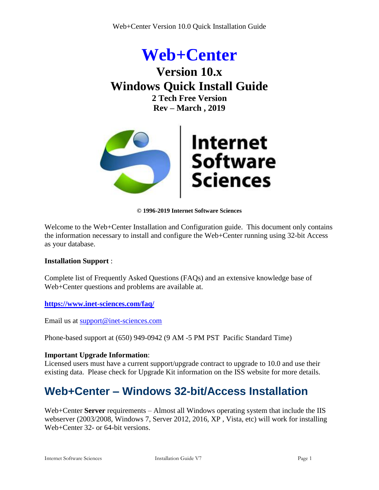



**© 1996-2019 Internet Software Sciences**

Welcome to the Web+Center Installation and Configuration guide. This document only contains the information necessary to install and configure the Web+Center running using 32-bit Access as your database.

### **Installation Support** :

Complete list of Frequently Asked Questions (FAQs) and an extensive knowledge base of Web+Center questions and problems are available at.

**<https://www.inet-sciences.com/faq/>**

Email us at [support@inet-sciences.com](mailto:support@inet-sciences.com)

Phone-based support at (650) 949-0942 (9 AM -5 PM PST Pacific Standard Time)

### **Important Upgrade Information**:

Licensed users must have a current support/upgrade contract to upgrade to 10.0 and use their existing data. Please check for Upgrade Kit information on the ISS website for more details.

# **Web+Center – Windows 32-bit/Access Installation**

Web+Center **Server** requirements – Almost all Windows operating system that include the IIS webserver (2003/2008, Windows 7, Server 2012, 2016, XP , Vista, etc) will work for installing Web+Center 32- or 64-bit versions.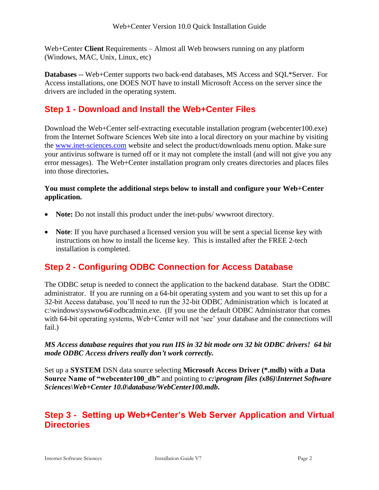Web+Center **Client** Requirements – Almost all Web browsers running on any platform (Windows, MAC, Unix, Linux, etc)

**Databases** -- Web+Center supports two back-end databases, MS Access and SQL\*Server. For Access installations, one DOES NOT have to install Microsoft Access on the server since the drivers are included in the operating system.

# **Step 1 - Download and Install the Web+Center Files**

Download the Web+Center self-extracting executable installation program (webcenter100.exe) from the Internet Software Sciences Web site into a local directory on your machine by visiting the [www.inet-sciences.com](http://www.inet-sciences.com/) website and select the product/downloads menu option. Make sure your antivirus software is turned off or it may not complete the install (and will not give you any error messages). The Web+Center installation program only creates directories and places files into those directories**.** 

### **You must complete the additional steps below to install and configure your Web+Center application.**

- **Note:** Do not install this product under the inet-pubs/www.root directory.
- **Note**: If you have purchased a licensed version you will be sent a special license key with instructions on how to install the license key. This is installed after the FREE 2-tech installation is completed.

# **Step 2 - Configuring ODBC Connection for Access Database**

The ODBC setup is needed to connect the application to the backend database. Start the ODBC administrator. If you are running on a 64-bit operating system and you want to set this up for a 32-bit Access database, you'll need to run the 32-bit ODBC Administration which is located at c:\windows\syswow64\odbcadmin.exe. (If you use the default ODBC Administrator that comes with 64-bit operating systems, Web+Center will not 'see' your database and the connections will fail.)

### *MS Access database requires that you run IIS in 32 bit mode orn 32 bit ODBC drivers! 64 bit mode ODBC Access drivers really don't work correctly.*

Set up a **SYSTEM** DSN data source selecting **Microsoft Access Driver (\*.mdb) with a Data Source Name of "webcenter100\_db"** and pointing to *c:\program files (x86)\Internet Software Sciences\Web+Center 10.0\database/WebCenter100.mdb***.**

### **Step 3 - Setting up Web+Center's Web Server Application and Virtual Directories**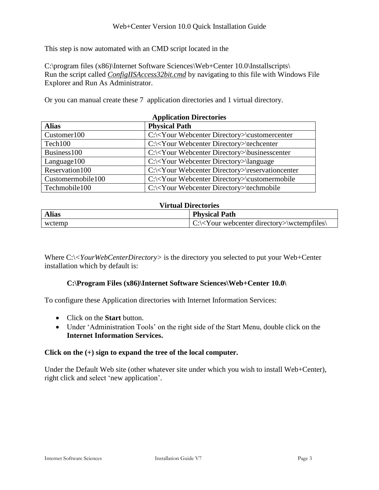This step is now automated with an CMD script located in the

C:\program files (x86)\Internet Software Sciences\Web+Center 10.0\Installscripts\ Run the script called *ConfigIISAccess32bit.cmd* by navigating to this file with Windows File Explorer and Run As Administrator.

Or you can manual create these 7 application directories and 1 virtual directory.

| <b>Application Directories</b>       |                                                                |  |  |  |
|--------------------------------------|----------------------------------------------------------------|--|--|--|
| <b>Alias</b><br><b>Physical Path</b> |                                                                |  |  |  |
| Customer100                          | C:\ <your directory="" webcenter="">\customercenter</your>     |  |  |  |
| Tech100                              | C:\ <your directory="" webcenter="">\techcenter</your>         |  |  |  |
| Business100                          | C:\ <your directory="" webcenter="">\businesscenter</your>     |  |  |  |
| Language 100                         | C:\ <your directory="" webcenter="">\language</your>           |  |  |  |
| Reservation 100                      | C:\ <your directory="" webcenter="">\reservationcenter</your>  |  |  |  |
| Customermobile100                    | $C:\langle$ Your Webcenter Directory> $\langle$ customermobile |  |  |  |
| Techmobile100                        | C:\ <your directory="" webcenter="">\techmobile</your>         |  |  |  |

#### **Virtual Directories**

| <b>Alias</b> | <b>Physical Path</b>                                            |
|--------------|-----------------------------------------------------------------|
| wctemp       | $\mid$ C:\ <your directory="" webcenter="">\wctempfiles\</your> |

Where C:\<*YourWebCenterDirectory*> is the directory you selected to put your Web+Center installation which by default is:

### **C:\Program Files (x86)\Internet Software Sciences\Web+Center 10.0\**

To configure these Application directories with Internet Information Services:

- Click on the **Start** button.
- Under 'Administration Tools' on the right side of the Start Menu, double click on the **Internet Information Services.**

### **Click on the (+) sign to expand the tree of the local computer.**

Under the Default Web site (other whatever site under which you wish to install Web+Center), right click and select 'new application'.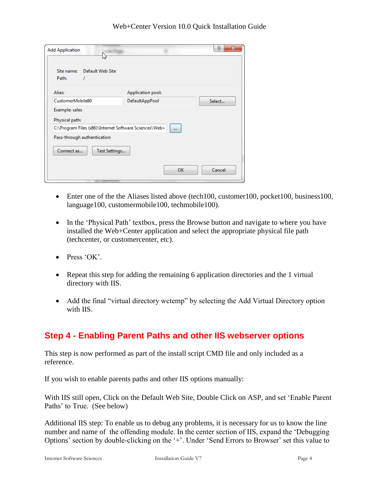| <b>Add Application</b><br>hř                                                               | P<br>$\mathbf{x}$        |
|--------------------------------------------------------------------------------------------|--------------------------|
| Default Web Site<br>Site name:<br>Path:                                                    |                          |
| Alias:                                                                                     | Application pool:        |
| CustomerMobile80                                                                           | DefaultAppPool<br>Select |
| Example: sales<br>Physical path:<br>C:\Program Files (x86)\Internet Software Sciences\Web+ |                          |
| Pass-through authentication                                                                | $\cdots$                 |
| Connect as<br>Test Settings                                                                |                          |
|                                                                                            | OK<br>Cancel             |

- Enter one of the the Aliases listed above (tech100, customer100, pocket100, business100, language100, customermobile100, techmobile100).
- In the 'Physical Path' textbox, press the Browse button and navigate to where you have installed the Web+Center application and select the appropriate physical file path (techcenter, or customercenter, etc).
- $\bullet$  Press 'OK'.
- Repeat this step for adding the remaining 6 application directories and the 1 virtual directory with IIS.
- Add the final "virtual directory wctemp" by selecting the Add Virtual Directory option with IIS.

# **Step 4 - Enabling Parent Paths and other IIS webserver options**

This step is now performed as part of the install script CMD file and only included as a reference.

If you wish to enable parents paths and other IIS options manually:

With IIS still open, Click on the Default Web Site, Double Click on ASP, and set 'Enable Parent Paths' to True. (See below)

Additional IIS step: To enable us to debug any problems, it is necessary for us to know the line number and name of the offending module. In the center section of IIS, expand the 'Debugging Options' section by double-clicking on the '+'. Under 'Send Errors to Browser' set this value to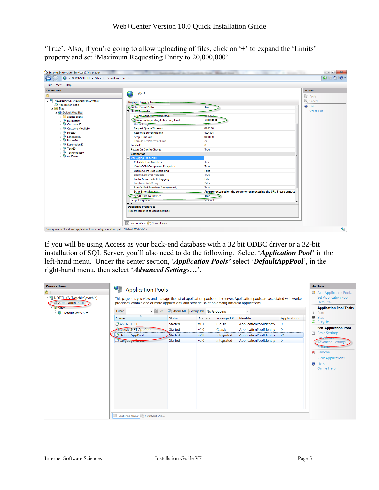'True'. Also, if you're going to allow uploading of files, click on '+' to expand the 'Limits' property and set 'Maximum Requesting Entity to 20,000,000'.

| > NEWINSPIRON > Sites > Default Web Site ><br>⊕          |                                         |                                                                         | $\bullet \quad \blacksquare \quad \spadesuit \quad \bullet \quad \bullet$ |
|----------------------------------------------------------|-----------------------------------------|-------------------------------------------------------------------------|---------------------------------------------------------------------------|
| Help<br>View<br>File                                     |                                         |                                                                         |                                                                           |
| <b>Connections</b>                                       |                                         |                                                                         | <b>Actions</b>                                                            |
|                                                          | <b>ASP</b>                              |                                                                         | <b>By</b> Apply                                                           |
| A G NEWINSPIRON (NewInspiron\Cynthia)                    | Display: Friendly Names-                | <b>B</b> <sub>c</sub> Cancel                                            |                                                                           |
| Application Pools                                        | <b>Enable Parent Paths</b>              | <b>True</b>                                                             | $\odot$ Help                                                              |
| 4 <b>o</b> Sites                                         | <b>El Limits Properties</b>             |                                                                         | <b>Online Help</b>                                                        |
| Default Web Site                                         | <b>Client Connection Test Interval</b>  | 00:00:03                                                                |                                                                           |
| <b>D</b> -B aspnet_client                                | Maximum Requesting Entity Body Limit    | 20000000                                                                |                                                                           |
| <b>Business80</b>                                        | Queue Length                            | 3000                                                                    |                                                                           |
| <b>D</b> -GP Customer80<br><b>D</b> -GP CustomerMobile80 | <b>Request Queue Time-out</b>           | 00:00:00                                                                |                                                                           |
| $\triangleright$ $\blacksquare$ Docs80                   | <b>Response Buffering Limit</b>         | 4194304                                                                 |                                                                           |
| <b>D</b> -19 Language80                                  | <b>Script Time-out</b>                  | 00:01:30                                                                |                                                                           |
| Pocket80                                                 | <b>Threads Per Processor Limit</b>      | 25                                                                      |                                                                           |
| <b>Reservation80</b>                                     | Locale ID                               | $\mathbf{0}$                                                            |                                                                           |
| $\rightarrow$ $\rightarrow$ Tech80                       | <b>Restart On Config Change</b>         | True                                                                    |                                                                           |
| D-F TechMobile80                                         | □ Compilation                           |                                                                         |                                                                           |
| D - wc80temp                                             | <b>El</b> Debugging Properties          |                                                                         |                                                                           |
|                                                          | <b>Calculate Line Numbers</b>           | True                                                                    |                                                                           |
|                                                          | <b>Catch COM Component Exceptions</b>   | True                                                                    |                                                                           |
|                                                          | <b>Enable Client-side Debugging</b>     | False                                                                   |                                                                           |
|                                                          | <b>Enable Log Error Requests</b>        | True                                                                    |                                                                           |
|                                                          | <b>Enable Server-side Debugging</b>     | False                                                                   |                                                                           |
|                                                          | Log Errors to NT Log                    | False                                                                   |                                                                           |
|                                                          | <b>Run On End Functions Anonymously</b> | True                                                                    |                                                                           |
|                                                          | <b>Script Error Message</b>             | An error occurred on the server when processing the URL. Please contact |                                                                           |
|                                                          | Send Errors To Browser                  | <b>True</b>                                                             |                                                                           |
|                                                          | <b>Script Language</b>                  | <b>VBScript</b>                                                         |                                                                           |
|                                                          | <b>Debugging Properties</b>             |                                                                         |                                                                           |
|                                                          | Properties related to debug settings.   |                                                                         |                                                                           |
|                                                          |                                         |                                                                         |                                                                           |
|                                                          | <b>Features View Content View</b>       |                                                                         |                                                                           |

If you will be using Access as your back-end database with a 32 bit ODBC driver or a 32-bit installation of SQL Server, you'll also need to do the following. Select '*Application Pool*' in the left-hand menu. Under the center section, '*Application Pools'* select '*DefaultAppPool*', in the right-hand menu, then select '*Advanced Settings…*'.

| <b>Connections</b><br>▲ • NOTCHKA (Notchka\cynthia)<br><b>Application Pools</b><br>$4 - 9$ Sites<br><b>D</b> Default Web Site | 9<br><b>Application Pools</b><br>This page lets you view and manage the list of application pools on the server. Application pools are associated with worker<br>processes, contain one or more applications, and provide isolation among different applications.<br>• (4) Go → G Show All Group by: No Grouping<br>Filter: |                |          |            |                         | <b>Actions</b><br><b>Add Application Pool</b><br><b>Set Application Pool</b><br>Defaults<br><b>Application Pool Tasks</b><br>Start<br>$\mathbb{D}$ |                                                                                                                           |
|-------------------------------------------------------------------------------------------------------------------------------|-----------------------------------------------------------------------------------------------------------------------------------------------------------------------------------------------------------------------------------------------------------------------------------------------------------------------------|----------------|----------|------------|-------------------------|----------------------------------------------------------------------------------------------------------------------------------------------------|---------------------------------------------------------------------------------------------------------------------------|
|                                                                                                                               | $\overline{\phantom{a}}$<br>Name                                                                                                                                                                                                                                                                                            | <b>Status</b>  | .NET Fra | Managed Pi | Identity                | <b>Applications</b>                                                                                                                                | ■ Stop                                                                                                                    |
|                                                                                                                               | LASP.NET 1.1                                                                                                                                                                                                                                                                                                                | Started        | v1.1     | Classic    | ApplicationPoolIdentity | $\mathbf{0}$                                                                                                                                       | $\ddot{z}$ Recycle                                                                                                        |
|                                                                                                                               | Classic .NET AppPool                                                                                                                                                                                                                                                                                                        | <b>Started</b> | v2.0     | Classic    | ApplicationPoolIdentity | $\mathbf 0$                                                                                                                                        | <b>Edit Application Pool</b>                                                                                              |
|                                                                                                                               | DefaultAppPool                                                                                                                                                                                                                                                                                                              | Started        | v2.0     | Integrated | ApplicationPoolIdentity | 24                                                                                                                                                 | <b>Basic Settings</b><br>Recycling.                                                                                       |
|                                                                                                                               | Language75sbcc<br><b>Features View</b><br>Content View                                                                                                                                                                                                                                                                      | <b>Started</b> | v2.0     | Integrated | ApplicationPoolIdentity | $\mathbf{0}$                                                                                                                                       | <b>Advanced Settings.</b><br>Rename<br><b>X</b> Remove<br><b>View Applications</b><br><b>O</b> Help<br><b>Online Help</b> |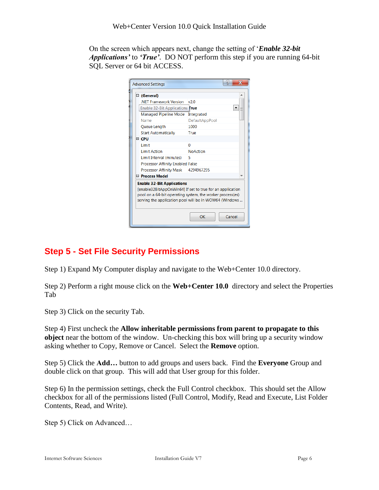On the screen which appears next, change the setting of '*Enable 32-bit Applications'* to *'True'*. DO NOT perform this step if you are running 64-bit SQL Server or 64 bit ACCESS.

|                                                           | <b>Advanced Settings</b>                |                 |  |  |  |
|-----------------------------------------------------------|-----------------------------------------|-----------------|--|--|--|
|                                                           | □ (General)                             |                 |  |  |  |
|                                                           | <b>NFT Framework Version</b>            | v2.0            |  |  |  |
|                                                           | Enable 32-Bit Applications True         |                 |  |  |  |
|                                                           | <b>Managed Pipeline Mode</b>            | Integrated      |  |  |  |
|                                                           | Name                                    | DefaultAppPool  |  |  |  |
|                                                           | Queue Length                            | 1000            |  |  |  |
|                                                           | <b>Start Automatically</b>              | True            |  |  |  |
|                                                           | $\boxminus$ CPU                         |                 |  |  |  |
|                                                           | Limit                                   | O               |  |  |  |
|                                                           | <b>Limit Action</b>                     | <b>NoAction</b> |  |  |  |
|                                                           | Limit Interval (minutes)                | 5               |  |  |  |
|                                                           | <b>Processor Affinity Enabled False</b> |                 |  |  |  |
|                                                           | Processor Affinity Mask                 | 4294967295      |  |  |  |
|                                                           | □ Process Model                         |                 |  |  |  |
| <b>Enable 32-Bit Applications</b>                         |                                         |                 |  |  |  |
| [enable32BitAppOnWin64] If set to true for an application |                                         |                 |  |  |  |
| pool on a 64-bit operating system, the worker process(es) |                                         |                 |  |  |  |
| serving the application pool will be in WOW64 (Windows    |                                         |                 |  |  |  |
|                                                           |                                         |                 |  |  |  |
|                                                           |                                         | OK<br>Cancel    |  |  |  |

# **Step 5 - Set File Security Permissions**

Step 1) Expand My Computer display and navigate to the Web+Center 10.0 directory.

Step 2) Perform a right mouse click on the **Web+Center 10.0** directory and select the Properties Tab

Step 3) Click on the security Tab.

Step 4) First uncheck the **Allow inheritable permissions from parent to propagate to this object** near the bottom of the window. Un-checking this box will bring up a security window asking whether to Copy, Remove or Cancel. Select the **Remove** option.

Step 5) Click the **Add…** button to add groups and users back. Find the **Everyone** Group and double click on that group. This will add that User group for this folder.

Step 6) In the permission settings, check the Full Control checkbox. This should set the Allow checkbox for all of the permissions listed (Full Control, Modify, Read and Execute, List Folder Contents, Read, and Write).

Step 5) Click on Advanced…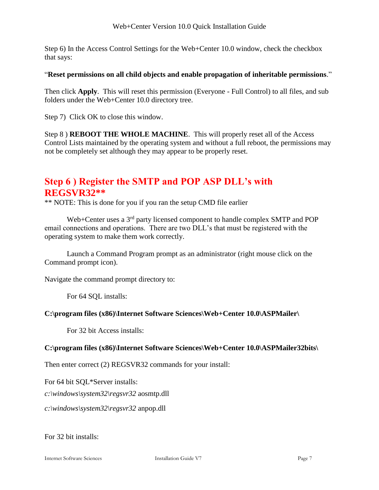Step 6) In the Access Control Settings for the Web+Center 10.0 window, check the checkbox that says:

### "**Reset permissions on all child objects and enable propagation of inheritable permissions**."

Then click **Apply**. This will reset this permission (Everyone - Full Control) to all files, and sub folders under the Web+Center 10.0 directory tree.

Step 7) Click OK to close this window.

Step 8 ) **REBOOT THE WHOLE MACHINE**. This will properly reset all of the Access Control Lists maintained by the operating system and without a full reboot, the permissions may not be completely set although they may appear to be properly reset.

# **Step 6 ) Register the SMTP and POP ASP DLL's with REGSVR32\*\***

\*\* NOTE: This is done for you if you ran the setup CMD file earlier

Web+Center uses a 3<sup>rd</sup> party licensed component to handle complex SMTP and POP email connections and operations. There are two DLL's that must be registered with the operating system to make them work correctly.

Launch a Command Program prompt as an administrator (right mouse click on the Command prompt icon).

Navigate the command prompt directory to:

For 64 SQL installs:

### **C:\program files (x86)\Internet Software Sciences\Web+Center 10.0\ASPMailer\**

For 32 bit Access installs:

### **C:\program files (x86)\Internet Software Sciences\Web+Center 10.0\ASPMailer32bits\**

Then enter correct (2) REGSVR32 commands for your install:

For 64 bit SQL\*Server installs:

*c:\windows\system32\regsvr32* aosmtp.dll

*c:\windows\system32\regsvr32* anpop.dll

For 32 bit installs: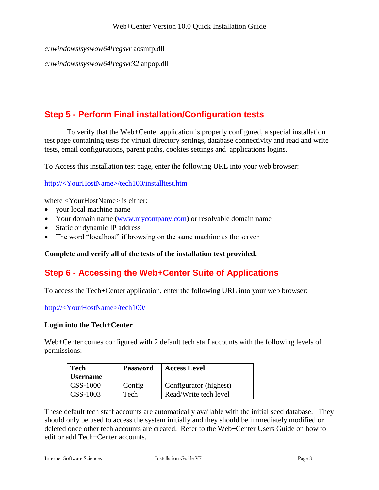```
c:\windows\syswow64\regsvr aosmtp.dll
```
*c:\windows\syswow64\regsvr32* anpop.dll

# **Step 5 - Perform Final installation/Configuration tests**

To verify that the Web+Center application is properly configured, a special installation test page containing tests for virtual directory settings, database connectivity and read and write tests, email configurations, parent paths, cookies settings and applications logins.

To Access this installation test page, enter the following URL into your web browser:

http://<YourHostName>/tech100/installtest.htm

where <YourHostName> is either:

- your local machine name
- Your domain name [\(www.mycompany.com\)](http://www.mycompany.com/) or resolvable domain name
- Static or dynamic IP address
- The word "localhost" if browsing on the same machine as the server

**Complete and verify all of the tests of the installation test provided.**

# **Step 6 - Accessing the Web+Center Suite of Applications**

To access the Tech+Center application, enter the following URL into your web browser:

http://<YourHostName>/tech100/

#### **Login into the Tech+Center**

Web+Center comes configured with 2 default tech staff accounts with the following levels of permissions:

| <b>Tech</b>     | <b>Password</b> | <b>Access Level</b>    |
|-----------------|-----------------|------------------------|
| <b>Username</b> |                 |                        |
| CSS-1000        | Config          | Configurator (highest) |
| CSS-1003        | Tech            | Read/Write tech level  |

These default tech staff accounts are automatically available with the initial seed database. They should only be used to access the system initially and they should be immediately modified or deleted once other tech accounts are created. Refer to the Web+Center Users Guide on how to edit or add Tech+Center accounts.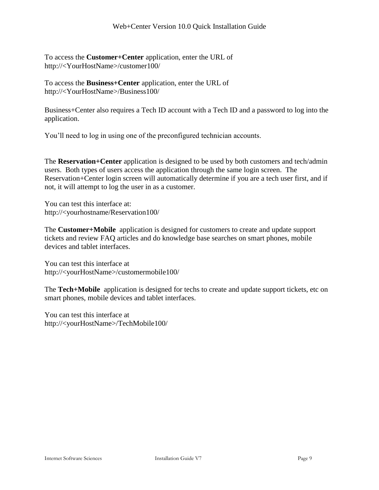To access the **Customer+Center** application, enter the URL of http://<YourHostName>/customer100/

To access the **Business+Center** application, enter the URL of http://<YourHostName>/Business100/

Business+Center also requires a Tech ID account with a Tech ID and a password to log into the application.

You'll need to log in using one of the preconfigured technician accounts.

The **Reservation+Center** application is designed to be used by both customers and tech/admin users. Both types of users access the application through the same login screen. The Reservation+Center login screen will automatically determine if you are a tech user first, and if not, it will attempt to log the user in as a customer.

You can test this interface at: http://<yourhostname/Reservation100/

The **Customer+Mobile** application is designed for customers to create and update support tickets and review FAQ articles and do knowledge base searches on smart phones, mobile devices and tablet interfaces.

You can test this interface at http://<yourHostName>/customermobile100/

The **Tech+Mobile** application is designed for techs to create and update support tickets, etc on smart phones, mobile devices and tablet interfaces.

You can test this interface at http://<yourHostName>/TechMobile100/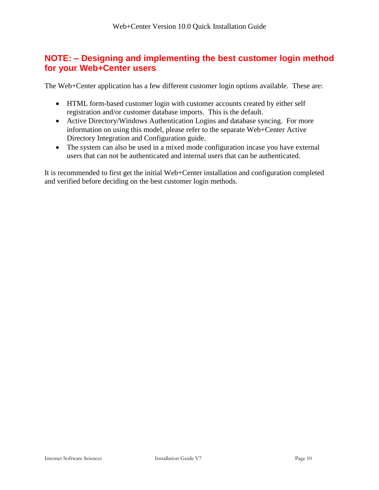### **NOTE: – Designing and implementing the best customer login method for your Web+Center users**

The Web+Center application has a few different customer login options available. These are:

- HTML form-based customer login with customer accounts created by either self registration and/or customer database imports. This is the default.
- Active Directory/Windows Authentication Logins and database syncing. For more information on using this model, please refer to the separate Web+Center Active Directory Integration and Configuration guide.
- The system can also be used in a mixed mode configuration incase you have external users that can not be authenticated and internal users that can be authenticated.

It is recommended to first get the initial Web+Center installation and configuration completed and verified before deciding on the best customer login methods.